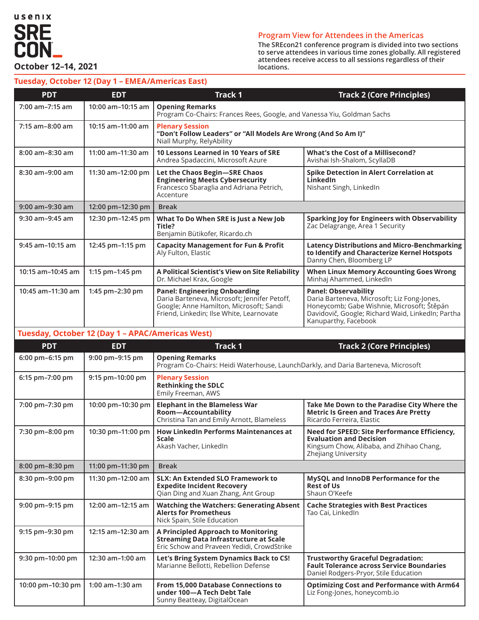

#### **Program View for Attendees in the Americas**

**The SREcon21 conference program is divided into two sections to serve attendees in various time zones globally. All registered attendees receive access to all sessions regardless of their locations.**

#### **Tuesday, October 12 (Day 1 – EMEA/Americas East)**

| <b>PDT</b>                                       | <b>EDT</b>          | <b>Track 1</b>                                                                                                                                                              | <b>Track 2 (Core Principles)</b>                                                                                                                                                                      |
|--------------------------------------------------|---------------------|-----------------------------------------------------------------------------------------------------------------------------------------------------------------------------|-------------------------------------------------------------------------------------------------------------------------------------------------------------------------------------------------------|
| 7:00 am-7:15 am                                  | 10:00 am-10:15 am   | <b>Opening Remarks</b><br>Program Co-Chairs: Frances Rees, Google, and Vanessa Yiu, Goldman Sachs                                                                           |                                                                                                                                                                                                       |
| $7:15$ am-8:00 am                                | 10:15 am-11:00 am   | <b>Plenary Session</b><br>"Don't Follow Leaders" or "All Models Are Wrong (And So Am I)"<br>Niall Murphy, RelyAbility                                                       |                                                                                                                                                                                                       |
| $8:00$ am- $8:30$ am                             | $11:00$ am-11:30 am | 10 Lessons Learned in 10 Years of SRE<br>Andrea Spadaccini, Microsoft Azure                                                                                                 | What's the Cost of a Millisecond?<br>Avishai Ish-Shalom, ScyllaDB                                                                                                                                     |
| 8:30 am-9:00 am                                  | 11:30 am-12:00 pm   | Let the Chaos Begin-SRE Chaos<br><b>Engineering Meets Cybersecurity</b><br>Francesco Sbaraglia and Adriana Petrich,<br>Accenture                                            | <b>Spike Detection in Alert Correlation at</b><br>LinkedIn<br>Nishant Singh, LinkedIn                                                                                                                 |
| $9:00$ am- $9:30$ am                             | 12:00 pm-12:30 pm   | <b>Break</b>                                                                                                                                                                |                                                                                                                                                                                                       |
| 9:30 am-9:45 am                                  | 12:30 pm-12:45 pm   | What To Do When SRE is Just a New Job<br>Title?<br>Benjamin Bütikofer, Ricardo.ch                                                                                           | Sparking Joy for Engineers with Observability<br>Zac Delagrange, Area 1 Security                                                                                                                      |
| 9:45 am-10:15 am                                 | 12:45 pm-1:15 pm    | <b>Capacity Management for Fun &amp; Profit</b><br>Aly Fulton, Elastic                                                                                                      | <b>Latency Distributions and Micro-Benchmarking</b><br>to Identify and Characterize Kernel Hotspots<br>Danny Chen, Bloomberg LP                                                                       |
| 10:15 am-10:45 am                                | 1:15 pm-1:45 pm     | A Political Scientist's View on Site Reliability<br>Dr. Michael Krax, Google                                                                                                | <b>When Linux Memory Accounting Goes Wrong</b><br>Minhaj Ahammed, LinkedIn                                                                                                                            |
| 10:45 am-11:30 am                                | 1:45 $pm-2:30$ pm   | <b>Panel: Engineering Onboarding</b><br>Daria Barteneva, Microsoft; Jennifer Petoff,<br>Google; Anne Hamilton, Microsoft; Sandi<br>Friend, Linkedin; Ilse White, Learnovate | <b>Panel: Observability</b><br>Daria Barteneva, Microsoft; Liz Fong-Jones,<br>Honeycomb; Gabe Wishnie, Microsoft; Štěpán<br>Davidovič, Google; Richard Waid, LinkedIn; Partha<br>Kanuparthy, Facebook |
| Tuesday, October 12 (Day 1 - APAC/Americas West) |                     |                                                                                                                                                                             |                                                                                                                                                                                                       |

| <b>PDT</b>        | <b>EDT</b>           | <b>Track 1</b>                                                                                                                     | <b>Track 2 (Core Principles)</b>                                                                                                                  |
|-------------------|----------------------|------------------------------------------------------------------------------------------------------------------------------------|---------------------------------------------------------------------------------------------------------------------------------------------------|
| 6:00 pm-6:15 pm   | 9:00 pm-9:15 pm      | <b>Opening Remarks</b><br>Program Co-Chairs: Heidi Waterhouse, LaunchDarkly, and Daria Barteneva, Microsoft                        |                                                                                                                                                   |
| 6:15 pm-7:00 pm   | 9:15 pm-10:00 pm     | <b>Plenary Session</b><br><b>Rethinking the SDLC</b><br>Emily Freeman, AWS                                                         |                                                                                                                                                   |
| 7:00 pm-7:30 pm   | 10:00 pm-10:30 pm    | <b>Elephant in the Blameless War</b><br>Room-Accountability<br>Christina Tan and Emily Arnott, Blameless                           | Take Me Down to the Paradise City Where the<br><b>Metric Is Green and Traces Are Pretty</b><br>Ricardo Ferreira, Elastic                          |
| 7:30 pm-8:00 pm   | 10:30 pm-11:00 pm    | <b>How LinkedIn Performs Maintenances at</b><br><b>Scale</b><br>Akash Vacher, LinkedIn                                             | Need for SPEED: Site Performance Efficiency,<br><b>Evaluation and Decision</b><br>Kingsum Chow, Alibaba, and Zhihao Chang,<br>Zhejiang University |
| 8:00 pm-8:30 pm   | 11:00 pm-11:30 pm    | <b>Break</b>                                                                                                                       |                                                                                                                                                   |
| 8:30 pm-9:00 pm   | 11:30 pm-12:00 am    | <b>SLX: An Extended SLO Framework to</b><br><b>Expedite Incident Recovery</b><br>Oian Ding and Xuan Zhang, Ant Group               | MySQL and InnoDB Performance for the<br><b>Rest of Us</b><br>Shaun O'Keefe                                                                        |
| 9:00 pm-9:15 pm   | 12:00 am-12:15 am    | <b>Watching the Watchers: Generating Absent</b><br><b>Alerts for Prometheus</b><br>Nick Spain, Stile Education                     | <b>Cache Strategies with Best Practices</b><br>Tao Cai, LinkedIn                                                                                  |
| 9:15 pm-9:30 pm   | 12:15 am-12:30 am    | A Principled Approach to Monitoring<br><b>Streaming Data Infrastructure at Scale</b><br>Eric Schow and Praveen Yedidi, CrowdStrike |                                                                                                                                                   |
| 9:30 pm-10:00 pm  | 12:30 am-1:00 am     | Let's Bring System Dynamics Back to CS!<br>Marianne Bellotti, Rebellion Defense                                                    | <b>Trustworthy Graceful Degradation:</b><br><b>Fault Tolerance across Service Boundaries</b><br>Daniel Rodgers-Pryor, Stile Education             |
| 10:00 pm-10:30 pm | $1:00$ am $-1:30$ am | From 15,000 Database Connections to<br>under 100-A Tech Debt Tale<br>Sunny Beatteay, DigitalOcean                                  | <b>Optimizing Cost and Performance with Arm64</b><br>Liz Fong-Jones, honeycomb.io                                                                 |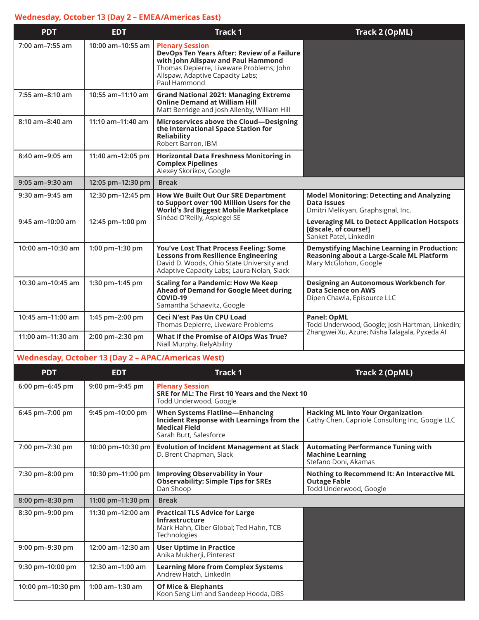## **Wednesday, October 13 (Day 2 – EMEA/Americas East)**

| <b>PDT</b>        | <b>EDT</b>        | <b>Track 1</b>                                                                                                                                                                                              | Track 2 (OpML)                                                                                                                   |
|-------------------|-------------------|-------------------------------------------------------------------------------------------------------------------------------------------------------------------------------------------------------------|----------------------------------------------------------------------------------------------------------------------------------|
| 7:00 am-7:55 am   | 10:00 am-10:55 am | <b>Plenary Session</b><br>DevOps Ten Years After: Review of a Failure<br>with John Allspaw and Paul Hammond<br>Thomas Depierre, Liveware Problems; John<br>Allspaw, Adaptive Capacity Labs;<br>Paul Hammond |                                                                                                                                  |
| 7:55 am-8:10 am   | 10:55 am-11:10 am | <b>Grand National 2021: Managing Extreme</b><br><b>Online Demand at William Hill</b><br>Matt Berridge and Josh Allenby, William Hill                                                                        |                                                                                                                                  |
| 8:10 am-8:40 am   | 11:10 am-11:40 am | Microservices above the Cloud-Designing<br>the International Space Station for<br>Reliability<br>Robert Barron, IBM                                                                                         |                                                                                                                                  |
| 8:40 am-9:05 am   | 11:40 am-12:05 pm | <b>Horizontal Data Freshness Monitoring in</b><br><b>Complex Pipelines</b><br>Alexey Skorikov, Google                                                                                                       |                                                                                                                                  |
| $9:05$ am-9:30 am | 12:05 pm-12:30 pm | <b>Break</b>                                                                                                                                                                                                |                                                                                                                                  |
| 9:30 am-9:45 am   | 12:30 pm-12:45 pm | <b>How We Built Out Our SRE Department</b><br>to Support over 100 Million Users for the<br><b>World's 3rd Biggest Mobile Marketplace</b><br>Sinéad O'Reilly, Aspiegel SE                                    | <b>Model Monitoring: Detecting and Analyzing</b><br><b>Data Issues</b><br>Dmitri Melikyan, Graphsignal, Inc.                     |
| 9:45 am-10:00 am  | 12:45 pm-1:00 pm  |                                                                                                                                                                                                             | <b>Leveraging ML to Detect Application Hotspots</b><br>[@scale, of course!]<br>Sanket Patel, LinkedIn                            |
| 10:00 am-10:30 am | 1:00 pm-1:30 pm   | You've Lost That Process Feeling: Some<br><b>Lessons from Resilience Engineering</b><br>David D. Woods, Ohio State University and<br>Adaptive Capacity Labs; Laura Nolan, Slack                             | <b>Demystifying Machine Learning in Production:</b><br><b>Reasoning about a Large-Scale ML Platform</b><br>Mary McGlohon, Google |
| 10:30 am-10:45 am | 1:30 pm-1:45 pm   | <b>Scaling for a Pandemic: How We Keep</b><br>Ahead of Demand for Google Meet during<br>COVID-19<br>Samantha Schaevitz, Google                                                                              | Designing an Autonomous Workbench for<br><b>Data Science on AWS</b><br>Dipen Chawla, Episource LLC                               |
| 10:45 am-11:00 am | 1:45 pm-2:00 pm   | <b>Ceci N'est Pas Un CPU Load</b><br>Thomas Depierre, Liveware Problems                                                                                                                                     | <b>Panel: OpML</b><br>Todd Underwood, Google; Josh Hartman, LinkedIn;                                                            |
| 11:00 am-11:30 am | 2:00 pm-2:30 pm   | What If the Promise of AIOps Was True?<br>Niall Murphy, RelyAbility                                                                                                                                         | Zhangwei Xu, Azure; Nisha Talagala, Pyxeda Al                                                                                    |

# **Wednesday, October 13 (Day 2 – APAC/Americas West)**

| <b>PDT</b>        | <b>EDT</b>        | <b>Track 1</b>                                                                                                                               | Track 2 (OpML)                                                                               |
|-------------------|-------------------|----------------------------------------------------------------------------------------------------------------------------------------------|----------------------------------------------------------------------------------------------|
| 6:00 pm-6:45 pm   | 9:00 pm-9:45 pm   | <b>Plenary Session</b><br>SRE for ML: The First 10 Years and the Next 10<br>Todd Underwood, Google                                           |                                                                                              |
| 6:45 pm-7:00 pm   | 9:45 pm-10:00 pm  | <b>When Systems Flatline-Enhancing</b><br><b>Incident Response with Learnings from the</b><br><b>Medical Field</b><br>Sarah Butt, Salesforce | <b>Hacking ML into Your Organization</b><br>Cathy Chen, Capriole Consulting Inc, Google LLC  |
| 7:00 pm-7:30 pm   | 10:00 pm-10:30 pm | <b>Evolution of Incident Management at Slack</b><br>D. Brent Chapman, Slack                                                                  | <b>Automating Performance Tuning with</b><br><b>Machine Learning</b><br>Stefano Doni, Akamas |
| 7:30 pm-8:00 pm   | 10:30 pm-11:00 pm | <b>Improving Observability in Your</b><br><b>Observability: Simple Tips for SREs</b><br>Dan Shoop                                            | Nothing to Recommend It: An Interactive ML<br><b>Outage Fable</b><br>Todd Underwood, Google  |
| 8:00 pm-8:30 pm   | 11:00 pm-11:30 pm | <b>Break</b>                                                                                                                                 |                                                                                              |
| 8:30 pm-9:00 pm   | 11:30 pm-12:00 am | <b>Practical TLS Advice for Large</b><br><b>Infrastructure</b><br>Mark Hahn, Ciber Global; Ted Hahn, TCB<br><b>Technologies</b>              |                                                                                              |
| 9:00 pm-9:30 pm   | 12:00 am-12:30 am | <b>User Uptime in Practice</b><br>Anika Mukherji, Pinterest                                                                                  |                                                                                              |
| 9:30 pm-10:00 pm  | 12:30 am-1:00 am  | <b>Learning More from Complex Systems</b><br>Andrew Hatch, LinkedIn                                                                          |                                                                                              |
| 10:00 pm-10:30 pm | $1:00$ am-1:30 am | <b>Of Mice &amp; Elephants</b><br>Koon Seng Lim and Sandeep Hooda, DBS                                                                       |                                                                                              |